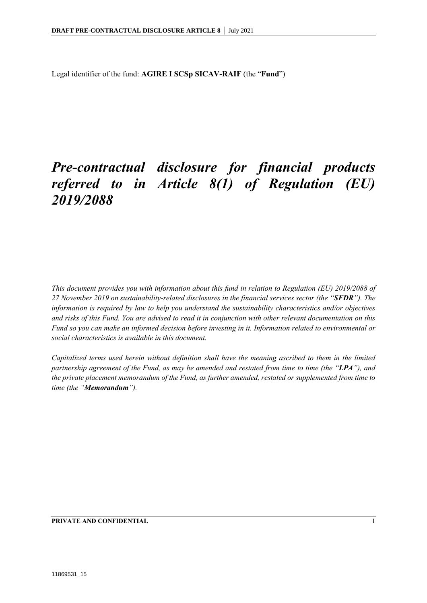Legal identifier of the fund: **AGIRE I SCSp SICAV-RAIF** (the "**Fund**")

# *Pre-contractual disclosure for financial products referred to in Article 8(1) of Regulation (EU) 2019/2088*

*This document provides you with information about this fund in relation to Regulation (EU) 2019/2088 of 27 November 2019 on sustainability-related disclosures in the financial services sector (the "SFDR"). The information is required by law to help you understand the sustainability characteristics and/or objectives and risks of this Fund. You are advised to read it in conjunction with other relevant documentation on this Fund so you can make an informed decision before investing in it. Information related to environmental or social characteristics is available in this document.*

*Capitalized terms used herein without definition shall have the meaning ascribed to them in the limited partnership agreement of the Fund, as may be amended and restated from time to time (the "LPA"), and the private placement memorandum of the Fund, as further amended, restated or supplemented from time to time (the "Memorandum").*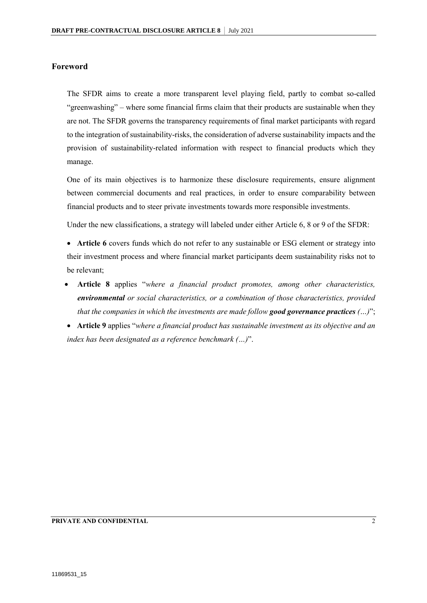### **Foreword**

The SFDR aims to create a more transparent level playing field, partly to combat so-called "greenwashing" – where some financial firms claim that their products are sustainable when they are not. The SFDR governs the transparency requirements of final market participants with regard to the integration of sustainability-risks, the consideration of adverse sustainability impacts and the provision of sustainability-related information with respect to financial products which they manage.

One of its main objectives is to harmonize these disclosure requirements, ensure alignment between commercial documents and real practices, in order to ensure comparability between financial products and to steer private investments towards more responsible investments.

Under the new classifications, a strategy will labeled under either Article 6, 8 or 9 of the SFDR:

• Article 6 covers funds which do not refer to any sustainable or ESG element or strategy into their investment process and where financial market participants deem sustainability risks not to be relevant;

 **Article 8** applies "*where a financial product promotes, among other characteristics, environmental or social characteristics, or a combination of those characteristics, provided that the companies in which the investments are made follow good governance practices (…)*";

 **Article 9** applies "*where a financial product has sustainable investment as its objective and an index has been designated as a reference benchmark (…)*".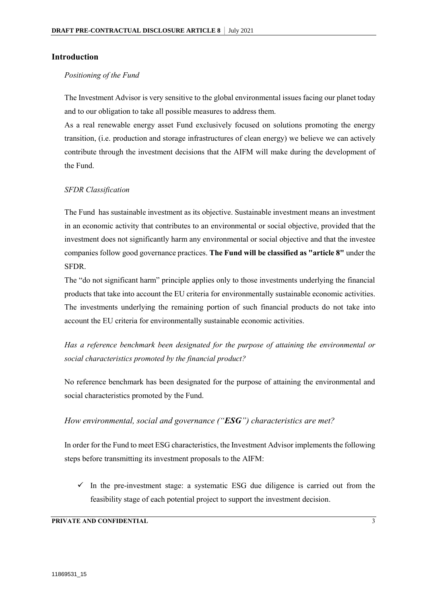### **Introduction**

#### *Positioning of the Fund*

The Investment Advisor is very sensitive to the global environmental issues facing our planet today and to our obligation to take all possible measures to address them.

As a real renewable energy asset Fund exclusively focused on solutions promoting the energy transition, (i.e. production and storage infrastructures of clean energy) we believe we can actively contribute through the investment decisions that the AIFM will make during the development of the Fund.

#### *SFDR Classification*

The Fund has sustainable investment as its objective. Sustainable investment means an investment in an economic activity that contributes to an environmental or social objective, provided that the investment does not significantly harm any environmental or social objective and that the investee companies follow good governance practices. **The Fund will be classified as "article 8"** under the SFDR.

The "do not significant harm" principle applies only to those investments underlying the financial products that take into account the EU criteria for environmentally sustainable economic activities. The investments underlying the remaining portion of such financial products do not take into account the EU criteria for environmentally sustainable economic activities.

*Has a reference benchmark been designated for the purpose of attaining the environmental or social characteristics promoted by the financial product?*

No reference benchmark has been designated for the purpose of attaining the environmental and social characteristics promoted by the Fund.

### *How environmental, social and governance ("ESG") characteristics are met?*

In order for the Fund to meet ESG characteristics, the Investment Advisor implements the following steps before transmitting its investment proposals to the AIFM:

 $\checkmark$  In the pre-investment stage: a systematic ESG due diligence is carried out from the feasibility stage of each potential project to support the investment decision.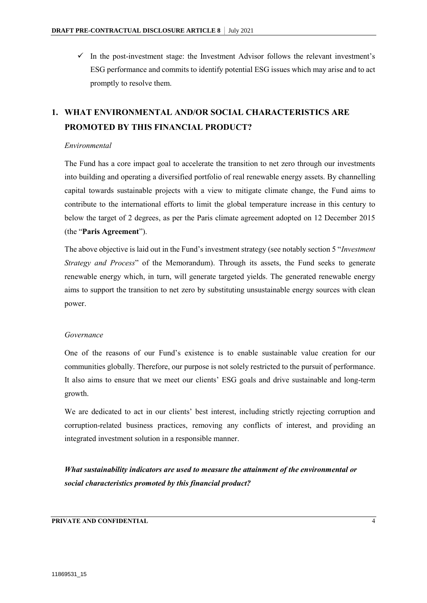$\checkmark$  In the post-investment stage: the Investment Advisor follows the relevant investment's ESG performance and commits to identify potential ESG issues which may arise and to act promptly to resolve them.

### **1. WHAT ENVIRONMENTAL AND/OR SOCIAL CHARACTERISTICS ARE PROMOTED BY THIS FINANCIAL PRODUCT?**

### *Environmental*

The Fund has a core impact goal to accelerate the transition to net zero through our investments into building and operating a diversified portfolio of real renewable energy assets. By channelling capital towards sustainable projects with a view to mitigate climate change, the Fund aims to contribute to the international efforts to limit the global temperature increase in this century to below the target of 2 degrees, as per the Paris climate agreement adopted on 12 December 2015 (the "**Paris Agreement**").

The above objective is laid out in the Fund's investment strategy (see notably section 5 "*Investment Strategy and Process*" of the Memorandum). Through its assets, the Fund seeks to generate renewable energy which, in turn, will generate targeted yields. The generated renewable energy aims to support the transition to net zero by substituting unsustainable energy sources with clean power.

#### *Governance*

One of the reasons of our Fund's existence is to enable sustainable value creation for our communities globally. Therefore, our purpose is not solely restricted to the pursuit of performance. It also aims to ensure that we meet our clients' ESG goals and drive sustainable and long-term growth.

We are dedicated to act in our clients' best interest, including strictly rejecting corruption and corruption-related business practices, removing any conflicts of interest, and providing an integrated investment solution in a responsible manner.

*What sustainability indicators are used to measure the attainment of the environmental or social characteristics promoted by this financial product?*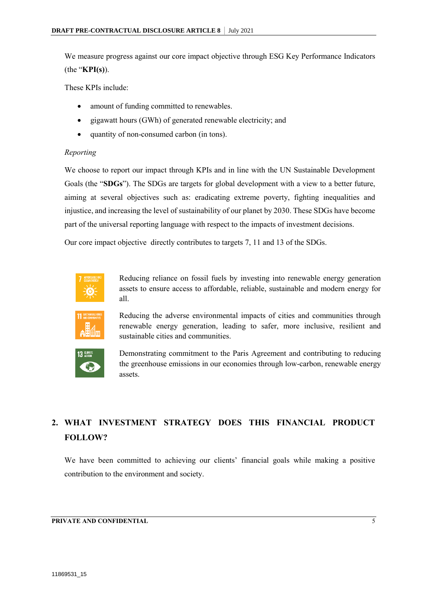We measure progress against our core impact objective through ESG Key Performance Indicators (the "**KPI(s)**).

These KPIs include:

- amount of funding committed to renewables.
- gigawatt hours (GWh) of generated renewable electricity; and
- quantity of non-consumed carbon (in tons).

### *Reporting*

We choose to report our impact through KPIs and in line with the UN Sustainable Development Goals (the "**SDGs**"). The SDGs are targets for global development with a view to a better future, aiming at several objectives such as: eradicating extreme poverty, fighting inequalities and injustice, and increasing the level of sustainability of our planet by 2030. These SDGs have become part of the universal reporting language with respect to the impacts of investment decisions.

Our core impact objective directly contributes to targets 7, 11 and 13 of the SDGs.



Reducing reliance on fossil fuels by investing into renewable energy generation assets to ensure access to affordable, reliable, sustainable and modern energy for all.



Reducing the adverse environmental impacts of cities and communities through renewable energy generation, leading to safer, more inclusive, resilient and sustainable cities and communities.



Demonstrating commitment to the Paris Agreement and contributing to reducing the greenhouse emissions in our economies through low-carbon, renewable energy assets.

## **2. WHAT INVESTMENT STRATEGY DOES THIS FINANCIAL PRODUCT FOLLOW?**

We have been committed to achieving our clients' financial goals while making a positive contribution to the environment and society.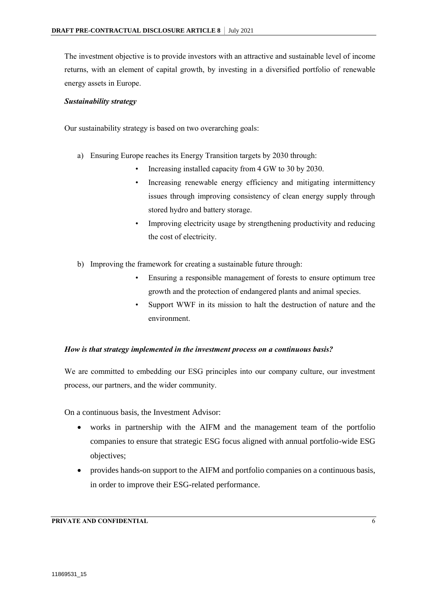The investment objective is to provide investors with an attractive and sustainable level of income returns, with an element of capital growth, by investing in a diversified portfolio of renewable energy assets in Europe.

### *Sustainability strategy*

Our sustainability strategy is based on two overarching goals:

- a) Ensuring Europe reaches its Energy Transition targets by 2030 through:
	- Increasing installed capacity from 4 GW to 30 by 2030.
	- Increasing renewable energy efficiency and mitigating intermittency issues through improving consistency of clean energy supply through stored hydro and battery storage.
	- Improving electricity usage by strengthening productivity and reducing the cost of electricity.
- b) Improving the framework for creating a sustainable future through:
	- Ensuring a responsible management of forests to ensure optimum tree growth and the protection of endangered plants and animal species.
	- Support WWF in its mission to halt the destruction of nature and the environment.

### *How is that strategy implemented in the investment process on a continuous basis?*

We are committed to embedding our ESG principles into our company culture, our investment process, our partners, and the wider community.

On a continuous basis, the Investment Advisor:

- works in partnership with the AIFM and the management team of the portfolio companies to ensure that strategic ESG focus aligned with annual portfolio-wide ESG objectives;
- provides hands-on support to the AIFM and portfolio companies on a continuous basis, in order to improve their ESG-related performance.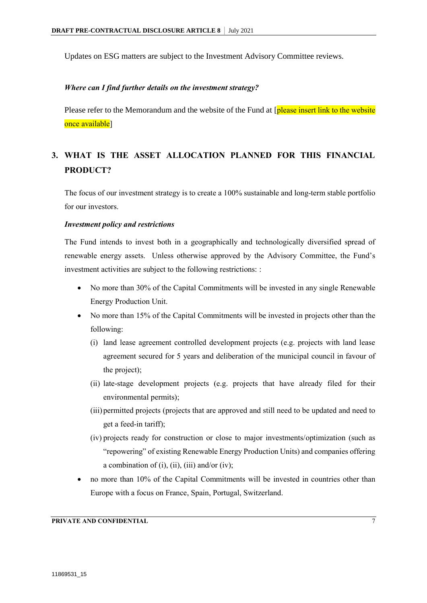Updates on ESG matters are subject to the Investment Advisory Committee reviews.

### *Where can I find further details on the investment strategy?*

Please refer to the Memorandum and the website of the Fund at [please insert link to the website once available]

### **3. WHAT IS THE ASSET ALLOCATION PLANNED FOR THIS FINANCIAL PRODUCT?**

The focus of our investment strategy is to create a 100% sustainable and long-term stable portfolio for our investors.

#### *Investment policy and restrictions*

The Fund intends to invest both in a geographically and technologically diversified spread of renewable energy assets. Unless otherwise approved by the Advisory Committee, the Fund's investment activities are subject to the following restrictions: :

- No more than 30% of the Capital Commitments will be invested in any single Renewable Energy Production Unit.
- No more than 15% of the Capital Commitments will be invested in projects other than the following:
	- (i) land lease agreement controlled development projects (e.g. projects with land lease agreement secured for 5 years and deliberation of the municipal council in favour of the project);
	- (ii) late-stage development projects (e.g. projects that have already filed for their environmental permits);
	- (iii) permitted projects (projects that are approved and still need to be updated and need to get a feed-in tariff);
	- (iv) projects ready for construction or close to major investments/optimization (such as "repowering" of existing Renewable Energy Production Units) and companies offering a combination of  $(i)$ ,  $(ii)$ ,  $(iii)$  and/or  $(iv)$ ;
- no more than 10% of the Capital Commitments will be invested in countries other than Europe with a focus on France, Spain, Portugal, Switzerland.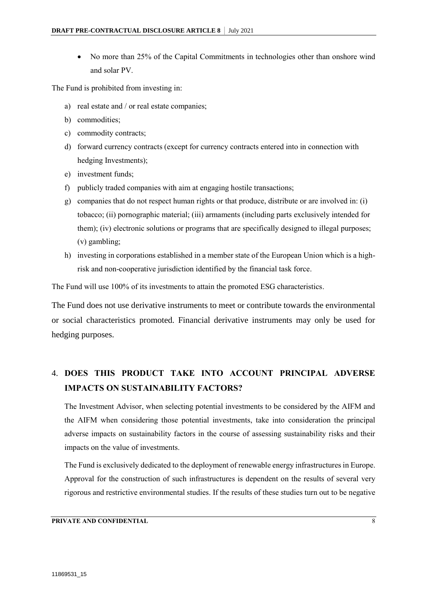No more than 25% of the Capital Commitments in technologies other than onshore wind and solar PV.

The Fund is prohibited from investing in:

- a) real estate and / or real estate companies;
- b) commodities;
- c) commodity contracts;
- d) forward currency contracts (except for currency contracts entered into in connection with hedging Investments);
- e) investment funds;
- f) publicly traded companies with aim at engaging hostile transactions;
- g) companies that do not respect human rights or that produce, distribute or are involved in: (i) tobacco; (ii) pornographic material; (iii) armaments (including parts exclusively intended for them); (iv) electronic solutions or programs that are specifically designed to illegal purposes; (v) gambling;
- h) investing in corporations established in a member state of the European Union which is a highrisk and non-cooperative jurisdiction identified by the financial task force.

The Fund will use 100% of its investments to attain the promoted ESG characteristics.

The Fund does not use derivative instruments to meet or contribute towards the environmental or social characteristics promoted. Financial derivative instruments may only be used for hedging purposes.

### 4. **DOES THIS PRODUCT TAKE INTO ACCOUNT PRINCIPAL ADVERSE IMPACTS ON SUSTAINABILITY FACTORS?**

The Investment Advisor, when selecting potential investments to be considered by the AIFM and the AIFM when considering those potential investments, take into consideration the principal adverse impacts on sustainability factors in the course of assessing sustainability risks and their impacts on the value of investments.

The Fund is exclusively dedicated to the deployment of renewable energy infrastructures in Europe. Approval for the construction of such infrastructures is dependent on the results of several very rigorous and restrictive environmental studies. If the results of these studies turn out to be negative